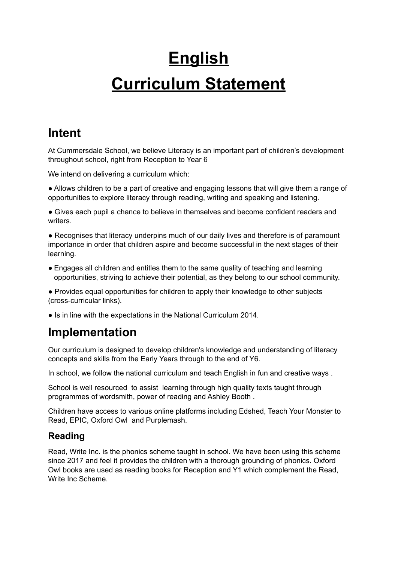# **English Curriculum Statement**

## **Intent**

At Cummersdale School, we believe Literacy is an important part of children's development throughout school, right from Reception to Year 6

We intend on delivering a curriculum which:

● Allows children to be a part of creative and engaging lessons that will give them a range of opportunities to explore literacy through reading, writing and speaking and listening.

● Gives each pupil a chance to believe in themselves and become confident readers and writers.

• Recognises that literacy underpins much of our daily lives and therefore is of paramount importance in order that children aspire and become successful in the next stages of their learning.

• Engages all children and entitles them to the same quality of teaching and learning opportunities, striving to achieve their potential, as they belong to our school community.

● Provides equal opportunities for children to apply their knowledge to other subjects (cross-curricular links).

● Is in line with the expectations in the National Curriculum 2014.

# **Implementation**

Our curriculum is designed to develop children's knowledge and understanding of literacy concepts and skills from the Early Years through to the end of Y6.

In school, we follow the national curriculum and teach English in fun and creative ways.

School is well resourced to assist learning through high quality texts taught through programmes of wordsmith, power of reading and Ashley Booth .

Children have access to various online platforms including Edshed, Teach Your Monster to Read, EPIC, Oxford Owl and Purplemash.

## **Reading**

Read, Write Inc. is the phonics scheme taught in school. We have been using this scheme since 2017 and feel it provides the children with a thorough grounding of phonics. Oxford Owl books are used as reading books for Reception and Y1 which complement the Read, Write Inc Scheme.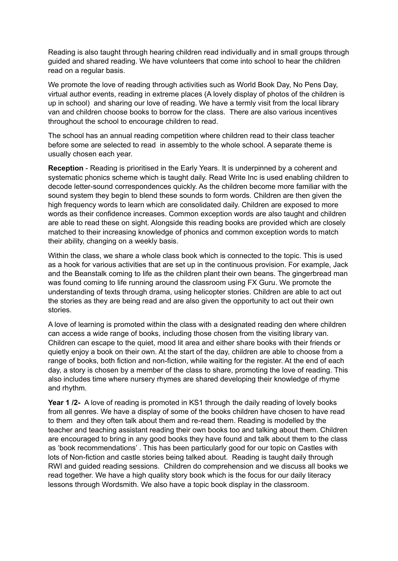Reading is also taught through hearing children read individually and in small groups through guided and shared reading. We have volunteers that come into school to hear the children read on a regular basis.

We promote the love of reading through activities such as World Book Day, No Pens Day, virtual author events, reading in extreme places (A lovely display of photos of the children is up in school) and sharing our love of reading. We have a termly visit from the local library van and children choose books to borrow for the class. There are also various incentives throughout the school to encourage children to read.

The school has an annual reading competition where children read to their class teacher before some are selected to read in assembly to the whole school. A separate theme is usually chosen each year.

**Reception** - Reading is prioritised in the Early Years. It is underpinned by a coherent and systematic phonics scheme which is taught daily. Read Write Inc is used enabling children to decode letter-sound correspondences quickly. As the children become more familiar with the sound system they begin to blend these sounds to form words. Children are then given the high frequency words to learn which are consolidated daily. Children are exposed to more words as their confidence increases. Common exception words are also taught and children are able to read these on sight. Alongside this reading books are provided which are closely matched to their increasing knowledge of phonics and common exception words to match their ability, changing on a weekly basis.

Within the class, we share a whole class book which is connected to the topic. This is used as a hook for various activities that are set up in the continuous provision. For example, Jack and the Beanstalk coming to life as the children plant their own beans. The gingerbread man was found coming to life running around the classroom using FX Guru. We promote the understanding of texts through drama, using helicopter stories. Children are able to act out the stories as they are being read and are also given the opportunity to act out their own stories.

A love of learning is promoted within the class with a designated reading den where children can access a wide range of books, including those chosen from the visiting library van. Children can escape to the quiet, mood lit area and either share books with their friends or quietly enjoy a book on their own. At the start of the day, children are able to choose from a range of books, both fiction and non-fiction, while waiting for the register. At the end of each day, a story is chosen by a member of the class to share, promoting the love of reading. This also includes time where nursery rhymes are shared developing their knowledge of rhyme and rhythm.

**Year 1 /2-** A love of reading is promoted in KS1 through the daily reading of lovely books from all genres. We have a display of some of the books children have chosen to have read to them and they often talk about them and re-read them. Reading is modelled by the teacher and teaching assistant reading their own books too and talking about them. Children are encouraged to bring in any good books they have found and talk about them to the class as 'book recommendations' . This has been particularly good for our topic on Castles with lots of Non-fiction and castle stories being talked about. Reading is taught daily through RWI and guided reading sessions. Children do comprehension and we discuss all books we read together. We have a high quality story book which is the focus for our daily literacy lessons through Wordsmith. We also have a topic book display in the classroom.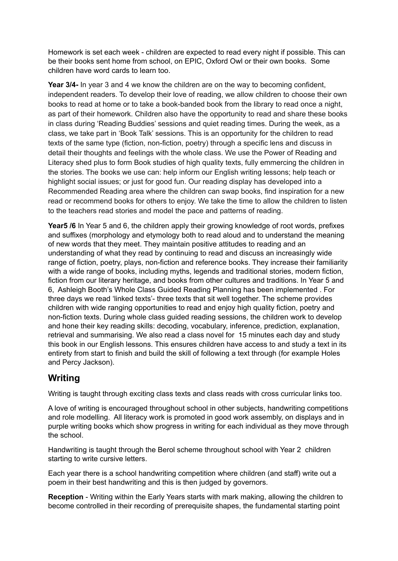Homework is set each week - children are expected to read every night if possible. This can be their books sent home from school, on EPIC, Oxford Owl or their own books. Some children have word cards to learn too.

**Year 3/4-** In year 3 and 4 we know the children are on the way to becoming confident, independent readers. To develop their love of reading, we allow children to choose their own books to read at home or to take a book-banded book from the library to read once a night, as part of their homework. Children also have the opportunity to read and share these books in class during 'Reading Buddies' sessions and quiet reading times. During the week, as a class, we take part in 'Book Talk' sessions. This is an opportunity for the children to read texts of the same type (fiction, non-fiction, poetry) through a specific lens and discuss in detail their thoughts and feelings with the whole class. We use the Power of Reading and Literacy shed plus to form Book studies of high quality texts, fully emmercing the children in the stories. The books we use can: help inform our English writing lessons; help teach or highlight social issues; or just for good fun. Our reading display has developed into a Recommended Reading area where the children can swap books, find inspiration for a new read or recommend books for others to enjoy. We take the time to allow the children to listen to the teachers read stories and model the pace and patterns of reading.

**Year5** /6 In Year 5 and 6, the children apply their growing knowledge of root words, prefixes and suffixes (morphology and etymology both to read aloud and to understand the meaning of new words that they meet. They maintain positive attitudes to reading and an understanding of what they read by continuing to read and discuss an increasingly wide range of fiction, poetry, plays, non-fiction and reference books. They increase their familiarity with a wide range of books, including myths, legends and traditional stories, modern fiction, fiction from our literary heritage, and books from other cultures and traditions. In Year 5 and 6, Ashleigh Booth's Whole Class Guided Reading Planning has been implemented . For three days we read 'linked texts'- three texts that sit well together. The scheme provides children with wide ranging opportunities to read and enjoy high quality fiction, poetry and non-fiction texts. During whole class guided reading sessions, the children work to develop and hone their key reading skills: decoding, vocabulary, inference, prediction, explanation, retrieval and summarising. We also read a class novel for 15 minutes each day and study this book in our English lessons. This ensures children have access to and study a text in its entirety from start to finish and build the skill of following a text through (for example Holes and Percy Jackson).

#### **Writing**

Writing is taught through exciting class texts and class reads with cross curricular links too.

A love of writing is encouraged throughout school in other subjects, handwriting competitions and role modelling. All literacy work is promoted in good work assembly, on displays and in purple writing books which show progress in writing for each individual as they move through the school.

Handwriting is taught through the Berol scheme throughout school with Year 2 children starting to write cursive letters.

Each year there is a school handwriting competition where children (and staff) write out a poem in their best handwriting and this is then judged by governors.

**Reception** - Writing within the Early Years starts with mark making, allowing the children to become controlled in their recording of prerequisite shapes, the fundamental starting point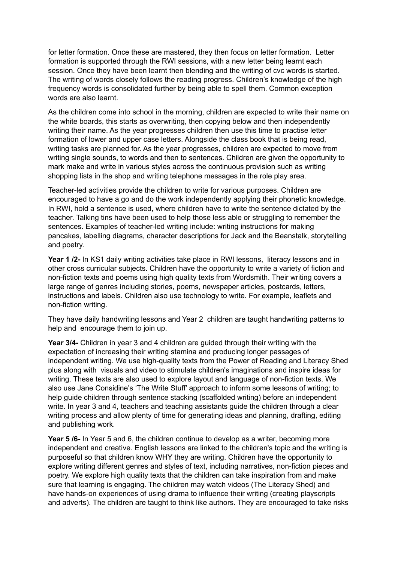for letter formation. Once these are mastered, they then focus on letter formation. Letter formation is supported through the RWI sessions, with a new letter being learnt each session. Once they have been learnt then blending and the writing of cvc words is started. The writing of words closely follows the reading progress. Children's knowledge of the high frequency words is consolidated further by being able to spell them. Common exception words are also learnt.

As the children come into school in the morning, children are expected to write their name on the white boards, this starts as overwriting, then copying below and then independently writing their name. As the year progresses children then use this time to practise letter formation of lower and upper case letters. Alongside the class book that is being read, writing tasks are planned for. As the year progresses, children are expected to move from writing single sounds, to words and then to sentences. Children are given the opportunity to mark make and write in various styles across the continuous provision such as writing shopping lists in the shop and writing telephone messages in the role play area.

Teacher-led activities provide the children to write for various purposes. Children are encouraged to have a go and do the work independently applying their phonetic knowledge. In RWI, hold a sentence is used, where children have to write the sentence dictated by the teacher. Talking tins have been used to help those less able or struggling to remember the sentences. Examples of teacher-led writing include: writing instructions for making pancakes, labelling diagrams, character descriptions for Jack and the Beanstalk, storytelling and poetry.

**Year 1 /2-** In KS1 daily writing activities take place in RWI lessons, literacy lessons and in other cross curricular subjects. Children have the opportunity to write a variety of fiction and non-fiction texts and poems using high quality texts from Wordsmith. Their writing covers a large range of genres including stories, poems, newspaper articles, postcards, letters, instructions and labels. Children also use technology to write. For example, leaflets and non-fiction writing.

They have daily handwriting lessons and Year 2 children are taught handwriting patterns to help and encourage them to join up.

**Year 3/4-** Children in year 3 and 4 children are guided through their writing with the expectation of increasing their writing stamina and producing longer passages of independent writing. We use high-quality texts from the Power of Reading and Literacy Shed plus along with visuals and video to stimulate children's imaginations and inspire ideas for writing. These texts are also used to explore layout and language of non-fiction texts. We also use Jane Considine's 'The Write Stuff' approach to inform some lessons of writing; to help guide children through sentence stacking (scaffolded writing) before an independent write. In year 3 and 4, teachers and teaching assistants guide the children through a clear writing process and allow plenty of time for generating ideas and planning, drafting, editing and publishing work.

**Year 5 /6-** In Year 5 and 6, the children continue to develop as a writer, becoming more independent and creative. English lessons are linked to the children's topic and the writing is purposeful so that children know WHY they are writing. Children have the opportunity to explore writing different genres and styles of text, including narratives, non-fiction pieces and poetry. We explore high quality texts that the children can take inspiration from and make sure that learning is engaging. The children may watch videos (The Literacy Shed) and have hands-on experiences of using drama to influence their writing (creating playscripts and adverts). The children are taught to think like authors. They are encouraged to take risks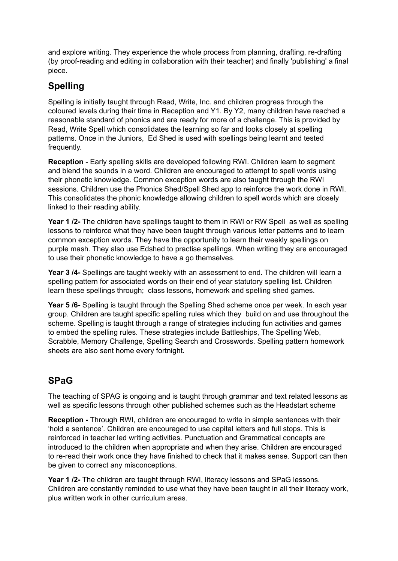and explore writing. They experience the whole process from planning, drafting, re-drafting (by proof-reading and editing in collaboration with their teacher) and finally 'publishing' a final piece.

#### **Spelling**

Spelling is initially taught through Read, Write, Inc. and children progress through the coloured levels during their time in Reception and Y1. By Y2, many children have reached a reasonable standard of phonics and are ready for more of a challenge. This is provided by Read, Write Spell which consolidates the learning so far and looks closely at spelling patterns. Once in the Juniors, Ed Shed is used with spellings being learnt and tested frequently.

**Reception** - Early spelling skills are developed following RWI. Children learn to segment and blend the sounds in a word. Children are encouraged to attempt to spell words using their phonetic knowledge. Common exception words are also taught through the RWI sessions. Children use the Phonics Shed/Spell Shed app to reinforce the work done in RWI. This consolidates the phonic knowledge allowing children to spell words which are closely linked to their reading ability.

**Year 1 /2-** The children have spellings taught to them in RWI or RW Spell as well as spelling lessons to reinforce what they have been taught through various letter patterns and to learn common exception words. They have the opportunity to learn their weekly spellings on purple mash. They also use Edshed to practise spellings. When writing they are encouraged to use their phonetic knowledge to have a go themselves.

**Year 3 /4-** Spellings are taught weekly with an assessment to end. The children will learn a spelling pattern for associated words on their end of year statutory spelling list. Children learn these spellings through; class lessons, homework and spelling shed games.

**Year 5 /6-** Spelling is taught through the Spelling Shed scheme once per week. In each year group. Children are taught specific spelling rules which they build on and use throughout the scheme. Spelling is taught through a range of strategies including fun activities and games to embed the spelling rules. These strategies include Battleships, The Spelling Web, Scrabble, Memory Challenge, Spelling Search and Crosswords. Spelling pattern homework sheets are also sent home every fortnight.

## **SPaG**

The teaching of SPAG is ongoing and is taught through grammar and text related lessons as well as specific lessons through other published schemes such as the Headstart scheme

**Reception -** Through RWI, children are encouraged to write in simple sentences with their 'hold a sentence'. Children are encouraged to use capital letters and full stops. This is reinforced in teacher led writing activities. Punctuation and Grammatical concepts are introduced to the children when appropriate and when they arise. Children are encouraged to re-read their work once they have finished to check that it makes sense. Support can then be given to correct any misconceptions.

**Year 1 /2-** The children are taught through RWI, literacy lessons and SPaG lessons. Children are constantly reminded to use what they have been taught in all their literacy work, plus written work in other curriculum areas.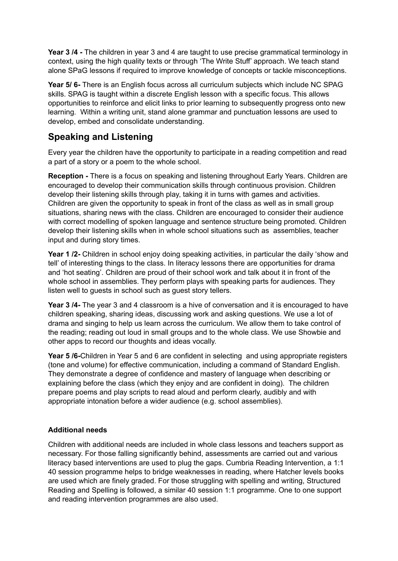**Year 3 /4 -** The children in year 3 and 4 are taught to use precise grammatical terminology in context, using the high quality texts or through 'The Write Stuff' approach. We teach stand alone SPaG lessons if required to improve knowledge of concepts or tackle misconceptions.

**Year 5/ 6-** There is an English focus across all curriculum subjects which include NC SPAG skills. SPAG is taught within a discrete English lesson with a specific focus. This allows opportunities to reinforce and elicit links to prior learning to subsequently progress onto new learning. Within a writing unit, stand alone grammar and punctuation lessons are used to develop, embed and consolidate understanding.

#### **Speaking and Listening**

Every year the children have the opportunity to participate in a reading competition and read a part of a story or a poem to the whole school.

**Reception -** There is a focus on speaking and listening throughout Early Years. Children are encouraged to develop their communication skills through continuous provision. Children develop their listening skills through play, taking it in turns with games and activities. Children are given the opportunity to speak in front of the class as well as in small group situations, sharing news with the class. Children are encouraged to consider their audience with correct modelling of spoken language and sentence structure being promoted. Children develop their listening skills when in whole school situations such as assemblies, teacher input and during story times.

**Year 1 /2-** Children in school enjoy doing speaking activities, in particular the daily 'show and tell' of interesting things to the class. In literacy lessons there are opportunities for drama and 'hot seating'. Children are proud of their school work and talk about it in front of the whole school in assemblies. They perform plays with speaking parts for audiences. They listen well to guests in school such as guest story tellers.

**Year 3 /4-** The year 3 and 4 classroom is a hive of conversation and it is encouraged to have children speaking, sharing ideas, discussing work and asking questions. We use a lot of drama and singing to help us learn across the curriculum. We allow them to take control of the reading; reading out loud in small groups and to the whole class. We use Showbie and other apps to record our thoughts and ideas vocally.

**Year 5 /6-**Children in Year 5 and 6 are confident in selecting and using appropriate registers (tone and volume) for effective communication, including a command of Standard English. They demonstrate a degree of confidence and mastery of language when describing or explaining before the class (which they enjoy and are confident in doing). The children prepare poems and play scripts to read aloud and perform clearly, audibly and with appropriate intonation before a wider audience (e.g. school assemblies).

#### **Additional needs**

Children with additional needs are included in whole class lessons and teachers support as necessary. For those falling significantly behind, assessments are carried out and various literacy based interventions are used to plug the gaps. Cumbria Reading Intervention, a 1:1 40 session programme helps to bridge weaknesses in reading, where Hatcher levels books are used which are finely graded. For those struggling with spelling and writing, Structured Reading and Spelling is followed, a similar 40 session 1:1 programme. One to one support and reading intervention programmes are also used.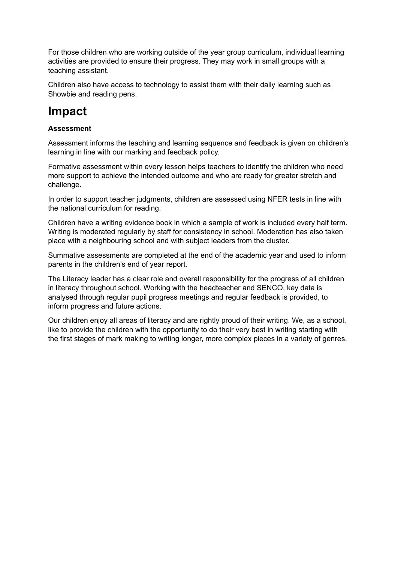For those children who are working outside of the year group curriculum, individual learning activities are provided to ensure their progress. They may work in small groups with a teaching assistant.

Children also have access to technology to assist them with their daily learning such as Showbie and reading pens.

## **Impact**

#### **Assessment**

Assessment informs the teaching and learning sequence and feedback is given on children's learning in line with our marking and feedback policy.

Formative assessment within every lesson helps teachers to identify the children who need more support to achieve the intended outcome and who are ready for greater stretch and challenge.

In order to support teacher judgments, children are assessed using NFER tests in line with the national curriculum for reading.

Children have a writing evidence book in which a sample of work is included every half term. Writing is moderated regularly by staff for consistency in school. Moderation has also taken place with a neighbouring school and with subject leaders from the cluster.

Summative assessments are completed at the end of the academic year and used to inform parents in the children's end of year report.

The Literacy leader has a clear role and overall responsibility for the progress of all children in literacy throughout school. Working with the headteacher and SENCO, key data is analysed through regular pupil progress meetings and regular feedback is provided, to inform progress and future actions.

Our children enjoy all areas of literacy and are rightly proud of their writing. We, as a school, like to provide the children with the opportunity to do their very best in writing starting with the first stages of mark making to writing longer, more complex pieces in a variety of genres.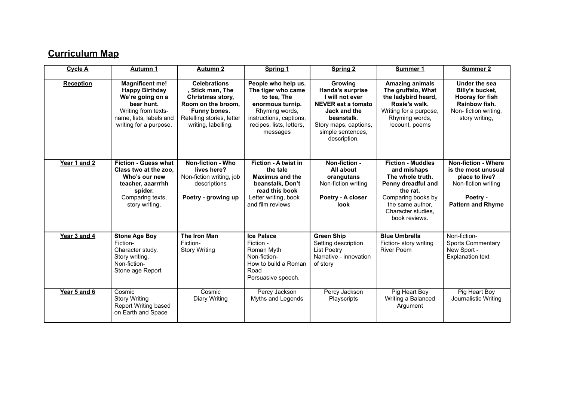## **Curriculum Map**

| <b>Cycle A</b>   | <b>Autumn 1</b>                                                                                                                                               | <b>Autumn 2</b>                                                                                                                                       | Spring 1                                                                                                                                                          | <b>Spring 2</b>                                                                                                                                                                | Summer 1                                                                                                                                                                       | Summer 2                                                                                                                           |
|------------------|---------------------------------------------------------------------------------------------------------------------------------------------------------------|-------------------------------------------------------------------------------------------------------------------------------------------------------|-------------------------------------------------------------------------------------------------------------------------------------------------------------------|--------------------------------------------------------------------------------------------------------------------------------------------------------------------------------|--------------------------------------------------------------------------------------------------------------------------------------------------------------------------------|------------------------------------------------------------------------------------------------------------------------------------|
| <b>Reception</b> | <b>Magnificent me!</b><br><b>Happy Birthday</b><br>We're going on a<br>bear hunt.<br>Writing from texts-<br>name, lists, labels and<br>writing for a purpose. | <b>Celebrations</b><br>, Stick man, The<br>Christmas story,<br>Room on the broom.<br>Funny bones.<br>Retelling stories, letter<br>writing, labelling. | People who help us.<br>The tiger who came<br>to tea, The<br>enormous turnip.<br>Rhyming words,<br>instructions, captions,<br>recipes, lists, letters,<br>messages | <b>Growing</b><br>Handa's surprise<br>I will not ever<br><b>NEVER eat a tomato</b><br>Jack and the<br>beanstalk.<br>Story maps, captions,<br>simple sentences,<br>description. | <b>Amazing animals</b><br>The gruffalo, What<br>the ladybird heard,<br>Rosie's walk.<br>Writing for a purpose,<br>Rhyming words,<br>recount, poems                             | Under the sea<br>Billy's bucket,<br>Hooray for fish<br>Rainbow fish.<br>Non-fiction writing,<br>story writing,                     |
| Year 1 and 2     | <b>Fiction - Guess what</b><br>Class two at the zoo.<br>Who's our new<br>teacher, aaarrrhh<br>spider.<br>Comparing texts,<br>story writing,                   | <b>Non-fiction - Who</b><br>lives here?<br>Non-fiction writing, job<br>descriptions<br>Poetry - growing up                                            | Fiction - A twist in<br>the tale<br><b>Maximus and the</b><br>beanstalk, Don't<br>read this book<br>Letter writing, book<br>and film reviews                      | Non-fiction -<br>All about<br>orangutans<br>Non-fiction writing<br>Poetry - A closer<br><b>look</b>                                                                            | <b>Fiction - Muddles</b><br>and mishaps<br>The whole truth.<br>Penny dreadful and<br>the rat.<br>Comparing books by<br>the same author,<br>Character studies.<br>book reviews. | <b>Non-fiction - Where</b><br>is the most unusual<br>place to live?<br>Non-fiction writing<br>Poetry -<br><b>Pattern and Rhyme</b> |
| Year 3 and 4     | <b>Stone Age Boy</b><br>Fiction-<br>Character study.<br>Story writing.<br>Non-fiction-<br>Stone age Report                                                    | The Iron Man<br>Fiction-<br><b>Story Writing</b>                                                                                                      | <b>Ice Palace</b><br>Fiction -<br>Roman Myth<br>Non-fiction-<br>How to build a Roman<br>Road<br>Persuasive speech.                                                | <b>Green Ship</b><br>Setting description<br><b>List Poetry</b><br>Narrative - innovation<br>of story                                                                           | <b>Blue Umbrella</b><br>Fiction- story writing<br><b>River Poem</b>                                                                                                            | Non-fiction-<br><b>Sports Commentary</b><br>New Sport -<br><b>Explanation text</b>                                                 |
| Year 5 and 6     | Cosmic<br><b>Story Writing</b><br>Report Writing based<br>on Earth and Space                                                                                  | Cosmic<br>Diary Writing                                                                                                                               | Percy Jackson<br>Myths and Legends                                                                                                                                | Percy Jackson<br>Playscripts                                                                                                                                                   | Pig Heart Boy<br>Writing a Balanced<br>Argument                                                                                                                                | Pig Heart Boy<br>Journalistic Writing                                                                                              |